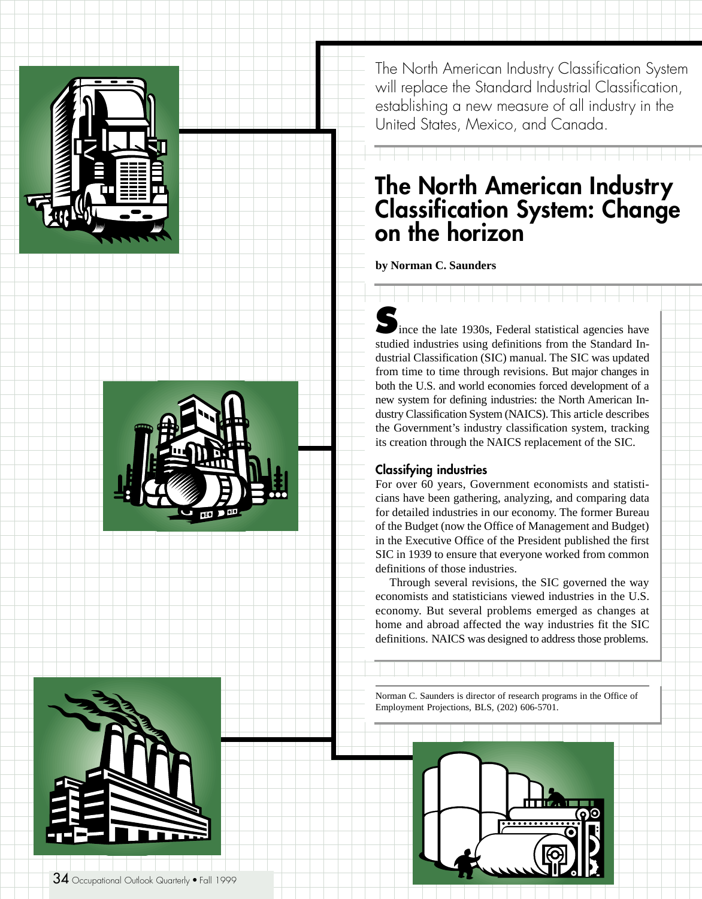





The North American Industry Classification System will replace the Standard Industrial Classification, establishing a new measure of all industry in the United States, Mexico, and Canada.

# **The North American Industry Classification System: Change on the horizon**

**by Norman C. Saunders**

**S**ince the late 1930s, Federal statistical agencies have studied industries using definitions from the Standard Industrial Classification (SIC) manual. The SIC was updated from time to time through revisions. But major changes in both the U.S. and world economies forced development of a new system for defining industries: the North American Industry Classification System (NAICS). This article describes the Government's industry classification system, tracking its creation through the NAICS replacement of the SIC.

# **Classifying industries**

For over 60 years, Government economists and statisticians have been gathering, analyzing, and comparing data for detailed industries in our economy. The former Bureau of the Budget (now the Office of Management and Budget) in the Executive Office of the President published the first SIC in 1939 to ensure that everyone worked from common definitions of those industries.

Through several revisions, the SIC governed the way economists and statisticians viewed industries in the U.S. economy. But several problems emerged as changes at home and abroad affected the way industries fit the SIC definitions. NAICS was designed to address those problems.

Norman C. Saunders is director of research programs in the Office of Employment Projections, BLS, (202) 606-5701.

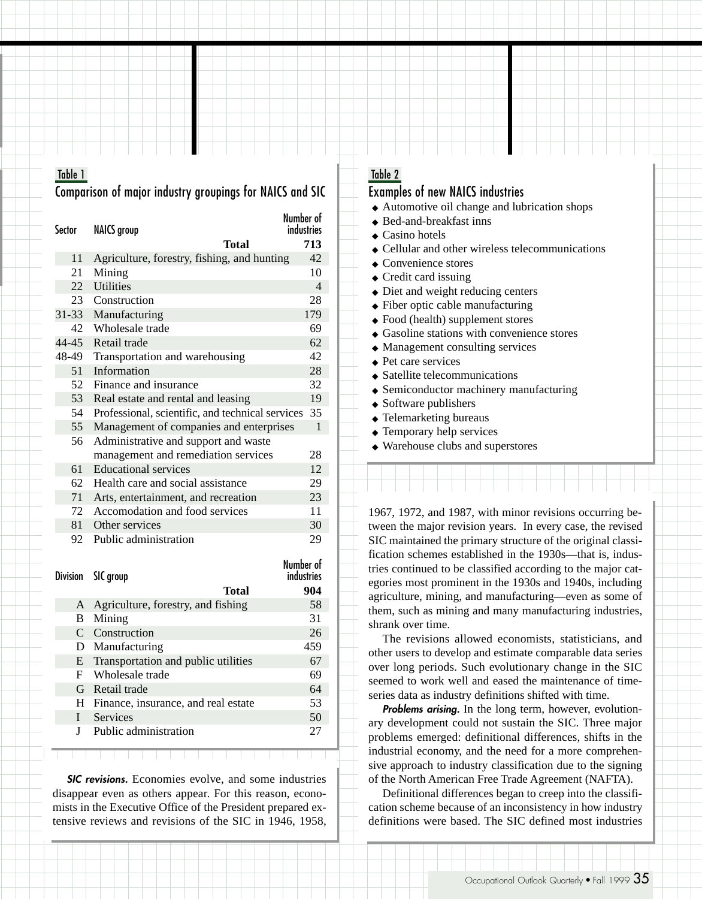# Table 1

# Comparison of major industry groupings for NAICS and SIC

Number of<br>industries Sector NAICS group **Total 713** 11 Agriculture, forestry, fishing, and hunting 42 21 Mining 10 22 Utilities 4 23 Construction 28 31-33 Manufacturing 179 42 Wholesale trade 69 44-45 Retail trade 62 48-49 Transportation and warehousing 42 51 Information 28 52 Finance and insurance 32 53 Real estate and rental and leasing 19 54 Professional, scientific, and technical services 35 55 Management of companies and enterprises 1 56 Administrative and support and waste management and remediation services 28 61 Educational services 12 62 Health care and social assistance 29 71 Arts, entertainment, and recreation 23 72 Accomodation and food services 11 81 Other services 30 92 Public administration 29 Number of

|   | Division SIC group                    | INUIIIUCI UI<br><b>industries</b> |
|---|---------------------------------------|-----------------------------------|
|   | Total                                 | 904                               |
| A | Agriculture, forestry, and fishing    | 58                                |
| В | Mining                                | 31                                |
|   | C Construction                        | 26                                |
|   | D Manufacturing                       | 459                               |
| E | Transportation and public utilities   | 67                                |
| F | – Wholesale trade                     | 69                                |
|   | G Retail trade                        | 64                                |
|   | H Finance, insurance, and real estate | 53                                |
| L | Services                              | 50                                |
|   | Public administration                 | 27                                |

**SIC revisions.** Economies evolve, and some industries disappear even as others appear. For this reason, economists in the Executive Office of the President prepared extensive reviews and revisions of the SIC in 1946, 1958,

# Table 2

# Examples of new NAICS industries

- ◆ Automotive oil change and lubrication shops
- ◆ Bed-and-breakfast inns
- ◆ Casino hotels
- ◆ Cellular and other wireless telecommunications
- ◆ Convenience stores
- ◆ Credit card issuing
- ◆ Diet and weight reducing centers
- ◆ Fiber optic cable manufacturing
- ◆ Food (health) supplement stores
- ◆ Gasoline stations with convenience stores
- ◆ Management consulting services
- ◆ Pet care services
- ◆ Satellite telecommunications
- ◆ Semiconductor machinery manufacturing
- ◆ Software publishers
- ◆ Telemarketing bureaus
- ◆ Temporary help services
- ◆ Warehouse clubs and superstores

1967, 1972, and 1987, with minor revisions occurring between the major revision years. In every case, the revised SIC maintained the primary structure of the original classification schemes established in the 1930s—that is, industries continued to be classified according to the major categories most prominent in the 1930s and 1940s, including agriculture, mining, and manufacturing—even as some of them, such as mining and many manufacturing industries, shrank over time.

The revisions allowed economists, statisticians, and other users to develop and estimate comparable data series over long periods. Such evolutionary change in the SIC seemed to work well and eased the maintenance of timeseries data as industry definitions shifted with time.

**Problems arising.** In the long term, however, evolutionary development could not sustain the SIC. Three major problems emerged: definitional differences, shifts in the industrial economy, and the need for a more comprehensive approach to industry classification due to the signing of the North American Free Trade Agreement (NAFTA).

Definitional differences began to creep into the classification scheme because of an inconsistency in how industry definitions were based. The SIC defined most industries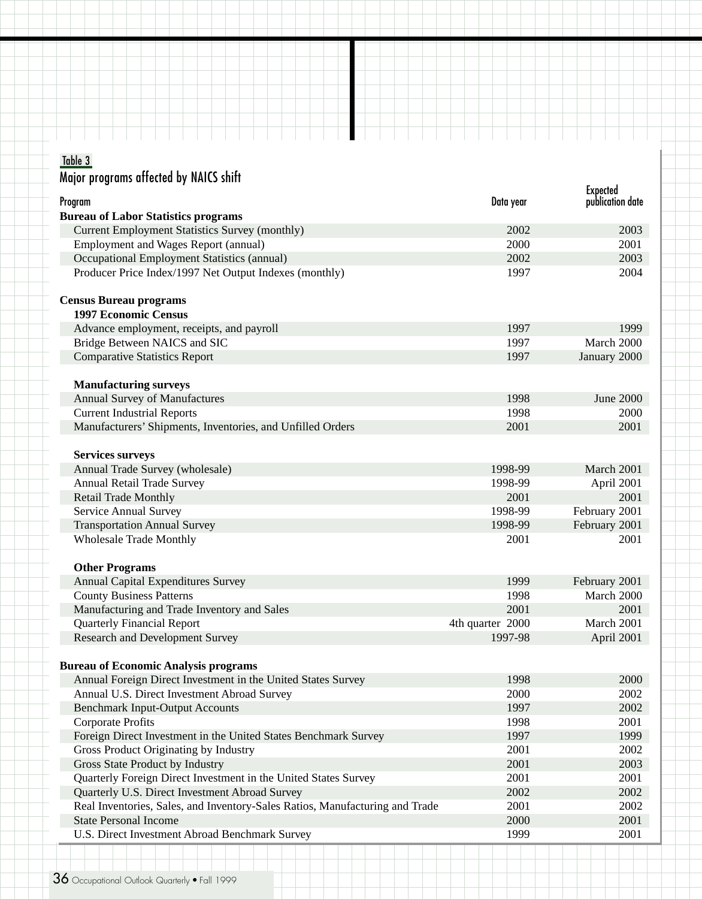## Table 3

| Major programs affected by NAICS shift                                       |                  |                                     |
|------------------------------------------------------------------------------|------------------|-------------------------------------|
| Program                                                                      | Data year        | <b>Expected</b><br>publication date |
| <b>Bureau of Labor Statistics programs</b>                                   |                  |                                     |
| <b>Current Employment Statistics Survey (monthly)</b>                        | 2002             | 2003                                |
| Employment and Wages Report (annual)                                         | 2000             | 2001                                |
| Occupational Employment Statistics (annual)                                  | 2002             | 2003                                |
| Producer Price Index/1997 Net Output Indexes (monthly)                       | 1997             | 2004                                |
| <b>Census Bureau programs</b><br><b>1997 Economic Census</b>                 |                  |                                     |
| Advance employment, receipts, and payroll                                    | 1997             | 1999                                |
| Bridge Between NAICS and SIC                                                 | 1997             | March 2000                          |
| <b>Comparative Statistics Report</b>                                         | 1997             | January 2000                        |
|                                                                              |                  |                                     |
| <b>Manufacturing surveys</b>                                                 |                  |                                     |
| <b>Annual Survey of Manufactures</b>                                         | 1998             | June 2000                           |
| <b>Current Industrial Reports</b>                                            | 1998             | 2000                                |
| Manufacturers' Shipments, Inventories, and Unfilled Orders                   | 2001             | 2001                                |
| <b>Services surveys</b>                                                      |                  |                                     |
| Annual Trade Survey (wholesale)                                              | 1998-99          | March 2001                          |
| Annual Retail Trade Survey                                                   | 1998-99          | April 2001                          |
| <b>Retail Trade Monthly</b>                                                  | 2001             | 2001                                |
| Service Annual Survey                                                        | 1998-99          | February 2001                       |
| <b>Transportation Annual Survey</b>                                          | 1998-99          | February 2001                       |
| <b>Wholesale Trade Monthly</b>                                               | 2001             | 2001                                |
|                                                                              |                  |                                     |
| <b>Other Programs</b>                                                        |                  |                                     |
| Annual Capital Expenditures Survey                                           | 1999             | February 2001                       |
| <b>County Business Patterns</b>                                              | 1998             | March 2000                          |
| Manufacturing and Trade Inventory and Sales                                  | 2001             | 2001                                |
| <b>Quarterly Financial Report</b>                                            | 4th quarter 2000 | March 2001                          |
| Research and Development Survey                                              | 1997-98          | April 2001                          |
|                                                                              |                  |                                     |
| <b>Bureau of Economic Analysis programs</b>                                  |                  |                                     |
| Annual Foreign Direct Investment in the United States Survey                 | 1998             | 2000                                |
| Annual U.S. Direct Investment Abroad Survey                                  | 2000             | 2002                                |
| <b>Benchmark Input-Output Accounts</b>                                       | 1997             | 2002                                |
| <b>Corporate Profits</b>                                                     | 1998             | 2001                                |
| Foreign Direct Investment in the United States Benchmark Survey              | 1997             | 1999                                |
| Gross Product Originating by Industry                                        | 2001             | 2002                                |
| Gross State Product by Industry                                              | 2001             | 2003                                |
| Quarterly Foreign Direct Investment in the United States Survey              | 2001             | 2001                                |
| Quarterly U.S. Direct Investment Abroad Survey                               | 2002             | 2002                                |
| Real Inventories, Sales, and Inventory-Sales Ratios, Manufacturing and Trade | 2001             | 2002                                |
| <b>State Personal Income</b>                                                 | 2000             | 2001                                |
| U.S. Direct Investment Abroad Benchmark Survey                               | 1999             | 2001                                |